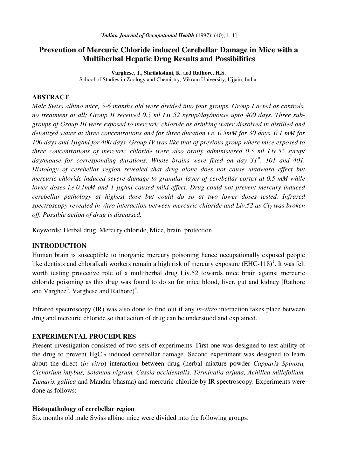# **Prevention of Mercuric Chloride induced Cerebellar Damage in Mice with a Multiherbal Hepatic Drug Results and Possibilities**

**Varghese, J., Shrilakshmi, K.** and **Rathore, H.S.** School of Studies in Zoology and Chemistry, Vikram University, Ujjain, India.

## **ABSTRACT**

*Male Swiss albino mice, 5-6 months old were divided into four groups. Group I acted as controls, no treatment at all; Group II received 0.5 ml Liv.52 syrup/day/mouse upto 400 days. Three subgroups of Group III were exposed to mercuric chloride as drinking water dissolved in distilled and deionized water at three concentrations and for three duration i.e. 0.5mM for 30 days. 0.1 mM for* 100 days and  $l\mu$ g/ml for 400 days. Group IV was like that of previous group where mice exposed to *three concentrations of mercuric chloride were also orally administered 0.5 ml Liv.52 syrup/ day/mouse for corresponding durations. Whole brains were fixed on day 31 st , 101 and 401. Histology of cerebellar region revealed that drug alone does not cause untoward effect but mercuric chloride induced severe damage to granular layer of cerebellar cortex at 0.5 mM while lower doses i.e.0.1mM and 1 µg/ml caused mild effect. Drug could not prevent mercury induced cerebellar pathology at highest dose but could do so at two lower doses tested. Infrared spectroscopy revealed in vitro interaction between mercuric chloride and Liv.52 as Cl<sup>2</sup> was broken off. Possible action of drug is discussed.*

Keywords: Herbal drug, Mercury chloride, Mice, brain, protection

#### **INTRODUCTION**

Human brain is susceptible to inorganic mercury poisoning hence occupationally exposed people like dentists and chloralkali workers remain a high risk of mercury exposure (EHC-118)<sup>1</sup>. It was felt worth testing protective role of a multiherbal drug Liv.52 towards mice brain against mercuric chloride poisoning as this drug was found to do so for mice blood, liver, gut and kidney [Rathore and Varghee<sup>2</sup>, Varghese and Rathore)<sup>3</sup>.

Infrared spectroscopy (IR) was also done to find out if any *in-vitro* interaction takes place between drug and mercuric chloride so that action of drug can be understood and explained.

#### **EXPERIMENTAL PROCEDURES**

Present investigation consisted of two sets of experiments. First one was designed to test ability of the drug to prevent HgCl<sub>2</sub> induced cerebellar damage. Second experiment was designed to learn about the direct (*in vitro*) interaction between drug (herbal mixture powder *Capparis Spinosa, Cichorium intybus, Solanum nigrum, Cassia occidentalis, Terminalia arjuna, Achillea millefolium, Tamarix gallica* and Mandur bhasma) and mercuric chloride by IR spectroscopy. Experiments were done as follows:

#### **Histopathology of cerebellar region**

Six months old male Swiss albino mice were divided into the following groups: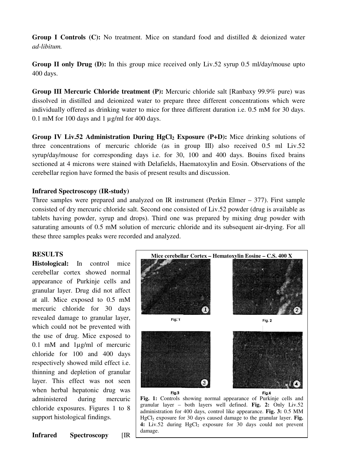**Group I Controls (C):** No treatment. Mice on standard food and distilled & deionized water *ad-libitum.*

**Group II only Drug (D):** In this group mice received only Liv.52 syrup 0.5 ml/day/mouse upto 400 days.

**Group III Mercuric Chloride treatment (P):** Mercuric chloride salt [Ranbaxy 99.9% pure) was dissolved in distilled and deionized water to prepare three different concentrations which were individually offered as drinking water to mice for three different duration i.e. 0.5 mM for 30 days. 0.1 mM for 100 days and 1 µg/ml for 400 days.

**Group IV Liv.52 Administration During HgCl<sup>2</sup> Exposure (P+D):** Mice drinking solutions of three concentrations of mercuric chloride (as in group III) also received 0.5 ml Liv.52 syrup/day/mouse for corresponding days i.e. for 30, 100 and 400 days. Bouins fixed brains sectioned at 4 microns were stained with Delafields, Haematoxylin and Eosin. Observations of the cerebellar region have formed the basis of present results and discussion.

## **Infrared Spectroscopy (IR-study)**

Three samples were prepared and analyzed on IR instrument (Perkin Elmer – 377). First sample consisted of dry mercuric chloride salt. Second one consisted of Liv.52 powder (drug is available as tablets having powder, syrup and drops). Third one was prepared by mixing drug powder with saturating amounts of 0.5 mM solution of mercuric chloride and its subsequent air-drying. For all these three samples peaks were recorded and analyzed.

## **RESULTS**

**Histological:** In control mice cerebellar cortex showed normal appearance of Purkinje cells and granular layer. Drug did not affect at all. Mice exposed to 0.5 mM mercuric chloride for 30 days revealed damage to granular layer, which could not be prevented with the use of drug. Mice exposed to 0.1 mM and 1µg/ml of mercuric chloride for 100 and 400 days respectively showed mild effect i.e. thinning and depletion of granular layer. This effect was not seen when herbal hepatonic drug was administered during mercuric chloride exposures. Figures 1 to 8 support histological findings.

**Mice cerebellar Cortex – Hematoxylin Eosine – C.S. 400 X** Fig. 1 Fig. 2 Fig.3 Fig.4 **Fig. 1:** Controls showing normal appearance of Purkinje cells and

granular layer – both layers well defined. **Fig. 2:** Only Liv.52 administration for 400 days, control like appearance. **Fig. 3:** 0.5 MM  $HgCl<sub>2</sub>$  exposure for 30 days caused damage to the granular layer. **Fig.** 4: Liv.52 during HgCl<sub>2</sub> exposure for 30 days could not prevent damage.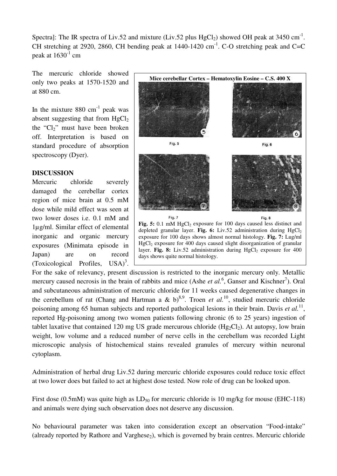Spectra]: The IR spectra of Liv.52 and mixture (Liv.52 plus  $HgCl_2$ ) showed OH peak at 3450 cm<sup>-1</sup>. CH stretching at 2920, 2860, CH bending peak at  $1440-1420$  cm<sup>-1</sup>. C-O stretching peak and C=C peak at  $1630^{\text{-}1}$  cm

The mercuric chloride showed only two peaks at 1570-1520 and at 880 cm.

In the mixture  $880 \text{ cm}^{-1}$  peak was absent suggesting that from  $HgCl<sub>2</sub>$ the " $Cl<sub>2</sub>$ " must have been broken off. Interpretation is based on standard procedure of absorption spectroscopy (Dyer).

## **DISCUSSION**

Mercuric chloride severely damaged the cerebellar cortex region of mice brain at 0.5 mM dose while mild effect was seen at two lower doses i.e. 0.1 mM and 1µg/ml. Similar effect of elemental inorganic and organic mercury exposures (Minimata episode in Japan) are on record (Toxicological Profiles, USA) 3 .



For the sake of relevancy, present discussion is restricted to the inorganic mercury only. Metallic mercury caused necrosis in the brain of rabbits and mice (Ashe *et al.*<sup>6</sup>, Ganser and Kischner<sup>7</sup>). Oral and subcutaneous administration of mercuric chloride for 11 weeks caused degenerative changes in the cerebellum of rat (Chang and Hartman a & b)<sup>8,9</sup>. Troen *et al.*<sup>10</sup>, studied mercuric chloride poisoning among 65 human subjects and reported pathological lesions in their brain. Davis *et al.*<sup>11</sup>, reported Hg-poisoning among two women patients following chronic (6 to 25 years) ingestion of tablet laxative that contained 120 mg US grade mercurous chloride  $(Hg_2Cl_2)$ . At autopsy, low brain weight, low volume and a reduced number of nerve cells in the cerebellum was recorded Light microscopic analysis of histochemical stains revealed granules of mercury within neuronal cytoplasm.

Administration of herbal drug Liv.52 during mercuric chloride exposures could reduce toxic effect at two lower does but failed to act at highest dose tested. Now role of drug can be looked upon.

First dose (0.5mM) was quite high as  $LD_{50}$  for mercuric chloride is 10 mg/kg for mouse (EHC-118) and animals were dying such observation does not deserve any discussion.

No behavioural parameter was taken into consideration except an observation "Food-intake" (already reported by Rathore and Varghese<sub>2</sub>), which is governed by brain centres. Mercuric chloride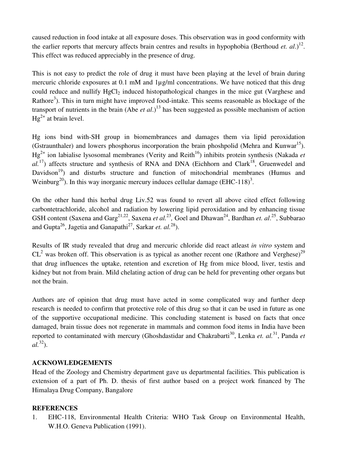caused reduction in food intake at all exposure doses. This observation was in good conformity with the earlier reports that mercury affects brain centres and results in hypophobia (Berthoud *et. al*.) 12 . This effect was reduced appreciably in the presence of drug.

This is not easy to predict the role of drug it must have been playing at the level of brain during mercuric chloride exposures at 0.1 mM and 1µg/ml concentrations. We have noticed that this drug could reduce and nullify  $HgCl<sub>2</sub>$  induced histopathological changes in the mice gut (Varghese and Rathore<sup>3</sup>). This in turn might have improved food-intake. This seems reasonable as blockage of the transport of nutrients in the brain (Abe *et al*.) 13 has been suggested as possible mechanism of action  $Hg^{2+}$  at brain level.

Hg ions bind with-SH group in biomembrances and damages them via lipid peroxidation (Gstraunthaler) and lowers phosphorus incorporation the brain phoshpolid (Mehra and Kunwar<sup>15</sup>). Hg 2+ ion labialise lysosomal membranes (Verity and Reith 16 ) inhibits protein synthesis (Nakada *et* al.<sup>17</sup>) affects structure and synthesis of RNA and DNA (Eichhorn and Clark<sup>18</sup>, Gruenwedel and Davidson<sup>19</sup>) and disturbs structure and function of mitochondrial membranes (Humus and Weinburg<sup>20</sup>). In this way inorganic mercury induces cellular damage (EHC-118)<sup>3</sup>.

On the other hand this herbal drug Liv.52 was found to revert all above cited effect following carbontetrachloride, alcohol and radiation by lowering lipid peroxidation and by enhancing tissue GSH content (Saxena and Garg<sup>21,22</sup>, Saxena *et al.*<sup>23</sup>, Goel and Dhawan<sup>24</sup>, Bardhan *et. al.*<sup>25</sup>, Subbarao and Gupta<sup>26</sup>, Jagetia and Ganapathi<sup>27</sup>, Sarkar *et. al.*<sup>28</sup>).

Results of IR study revealed that drug and mercuric chloride did react atleast *in vitro* system and  $CL<sup>2</sup>$  was broken off. This observation is as typical as another recent one (Rathore and Verghese)<sup>29</sup> that drug influences the uptake, retention and excretion of Hg from mice blood, liver, testis and kidney but not from brain. Mild chelating action of drug can be held for preventing other organs but not the brain.

Authors are of opinion that drug must have acted in some complicated way and further deep research is needed to confirm that protective role of this drug so that it can be used in future as one of the supportive occupational medicine. This concluding statement is based on facts that once damaged, brain tissue does not regenerate in mammals and common food items in India have been reported to contaminated with mercury (Ghoshdastidar and Chakrabarti<sup>30</sup>, Lenka *et. al.*<sup>31</sup>, Panda *et al.* 32 ).

## **ACKNOWLEDGEMENTS**

Head of the Zoology and Chemistry department gave us departmental facilities. This publication is extension of a part of Ph. D. thesis of first author based on a project work financed by The Himalaya Drug Company, Bangalore

## **REFERENCES**

1. EHC-118, Environmental Health Criteria: WHO Task Group on Environmental Health, W.H.O. Geneva Publication (1991).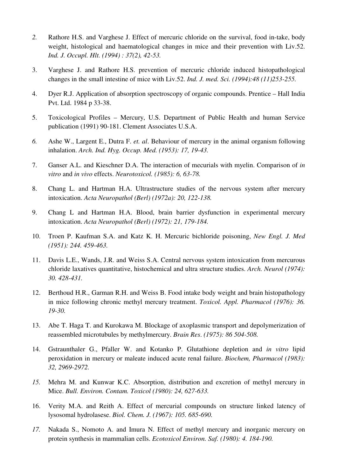- *2.* Rathore H.S. and Varghese J. Effect of mercuric chloride on the survival, food in-take, body weight, histological and haematological changes in mice and their prevention with Liv.52. *Ind. J. Occupl. Hlt. (1994) : 37(2), 42-53.*
- 3. Varghese J. and Rathore H.S. prevention of mercuric chloride induced histopathological changes in the small intestine of mice with Liv.52. *Ind. J. med. Sci. (1994):48 (11)253-255.*
- 4. Dyer R.J. Application of absorption spectroscopy of organic compounds. Prentice Hall India Pvt. Ltd. 1984 p 33-38.
- 5. Toxicological Profiles Mercury, U.S. Department of Public Health and human Service publication (1991) 90-181. Clement Associates U.S.A.
- *6.* Ashe W., Largent E., Dutra F. *et. al*. Behaviour of mercury in the animal organism following inhalation. *Arch. Ind. Hyg. Occup. Med. (1953): 17, 19-43.*
- 7. Ganser A.L. and Kieschner D.A. The interaction of mecurials with myelin. Comparison of *in vitro* and *in vivo* effects. *Neurotoxicol. (1985): 6, 63-78.*
- 8. Chang L. and Hartman H.A. Ultrastructure studies of the nervous system after mercury intoxication. *Acta Neuropathol (Berl) (1972a): 20, 122-138.*
- 9. Chang L and Hartman H.A. Blood, brain barrier dysfunction in experimental mercury intoxication. *Acta Neuropathol (Berl) (1972): 21, 179-184.*
- 10. Troen P. Kaufman S.A. and Katz K. H. Mercuric bichloride poisoning, *New Engl. J. Med (1951): 244. 459-463.*
- 11. Davis L.E., Wands, J.R. and Weiss S.A. Central nervous system intoxication from mercurous chloride laxatives quantitative, histochemical and ultra structure studies. *Arch. Neurol (1974): 30. 428-431.*
- 12. Berthoud H.R., Garman R.H. and Weiss B. Food intake body weight and brain histopathology in mice following chronic methyl mercury treatment. *Toxicol. Appl. Pharmacol (1976): 36. 19-30.*
- 13. Abe T. Haga T. and Kurokawa M. Blockage of axoplasmic transport and depolymerization of reassembled microtubules by methylmercury. *Brain Res*. *(1975): 86 504-508.*
- 14. Gstraunthaler G., Pfaller W. and Kotanko P. Glutathione depletion and *in vitro* lipid peroxidation in mercury or maleate induced acute renal failure. *Biochem, Pharmacol (1983): 32, 2969-2972.*
- *15.* Mehra M. and Kunwar K.C. Absorption, distribution and excretion of methyl mercury in Mice. *Bull. Environ. Contam. Toxicol (1980): 24, 627-633.*
- 16. Verity M.A. and Reith A. Effect of mercurial compounds on structure linked latency of lysosomal hydrolasese. *Biol. Chem. J. (1967): 105. 685-690.*
- *17.* Nakada S., Nomoto A. and Imura N. Effect of methyl mercury and inorganic mercury on protein synthesis in mammalian cells. *Ecotoxicol Environ. Saf. (1980): 4. 184-190.*